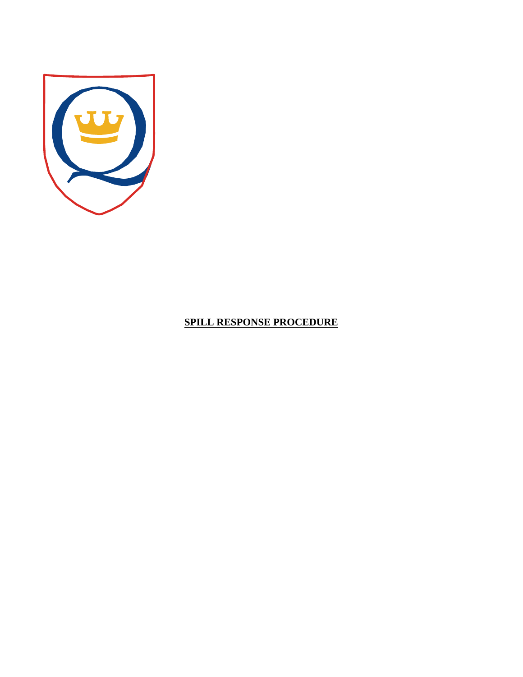

# **SPILL RESPONSE PROCEDURE**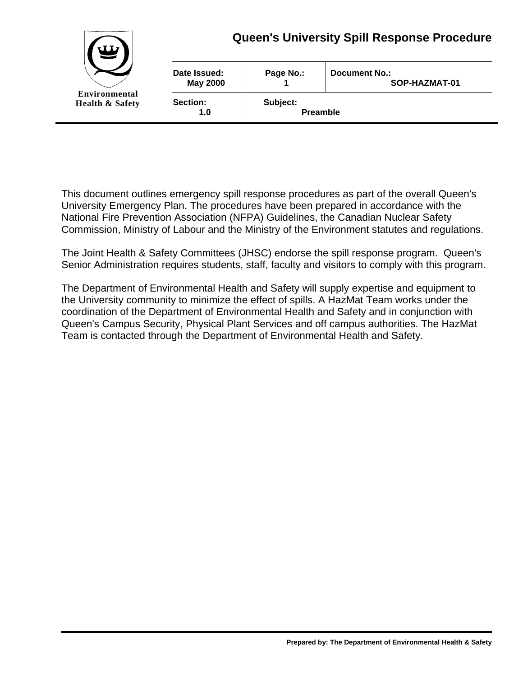

This document outlines emergency spill response procedures as part of the overall Queen's University Emergency Plan. The procedures have been prepared in accordance with the National Fire Prevention Association (NFPA) Guidelines, the Canadian Nuclear Safety Commission, Ministry of Labour and the Ministry of the Environment statutes and regulations.

The Joint Health & Safety Committees (JHSC) endorse the spill response program. Queen's Senior Administration requires students, staff, faculty and visitors to comply with this program.

The Department of Environmental Health and Safety will supply expertise and equipment to the University community to minimize the effect of spills. A HazMat Team works under the coordination of the Department of Environmental Health and Safety and in conjunction with Queen's Campus Security, Physical Plant Services and off campus authorities. The HazMat Team is contacted through the Department of Environmental Health and Safety.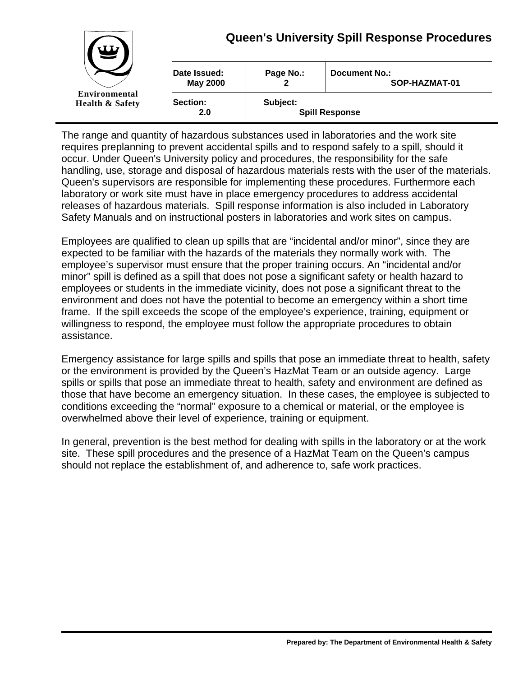

The range and quantity of hazardous substances used in laboratories and the work site requires preplanning to prevent accidental spills and to respond safely to a spill, should it occur. Under Queen's University policy and procedures, the responsibility for the safe handling, use, storage and disposal of hazardous materials rests with the user of the materials. Queen's supervisors are responsible for implementing these procedures. Furthermore each laboratory or work site must have in place emergency procedures to address accidental releases of hazardous materials. Spill response information is also included in Laboratory Safety Manuals and on instructional posters in laboratories and work sites on campus.

Employees are qualified to clean up spills that are "incidental and/or minor", since they are expected to be familiar with the hazards of the materials they normally work with. The employee's supervisor must ensure that the proper training occurs. An "incidental and/or minor" spill is defined as a spill that does not pose a significant safety or health hazard to employees or students in the immediate vicinity, does not pose a significant threat to the environment and does not have the potential to become an emergency within a short time frame. If the spill exceeds the scope of the employee's experience, training, equipment or willingness to respond, the employee must follow the appropriate procedures to obtain assistance.

Emergency assistance for large spills and spills that pose an immediate threat to health, safety or the environment is provided by the Queen's HazMat Team or an outside agency. Large spills or spills that pose an immediate threat to health, safety and environment are defined as those that have become an emergency situation. In these cases, the employee is subjected to conditions exceeding the "normal" exposure to a chemical or material, or the employee is overwhelmed above their level of experience, training or equipment.

In general, prevention is the best method for dealing with spills in the laboratory or at the work site. These spill procedures and the presence of a HazMat Team on the Queen's campus should not replace the establishment of, and adherence to, safe work practices.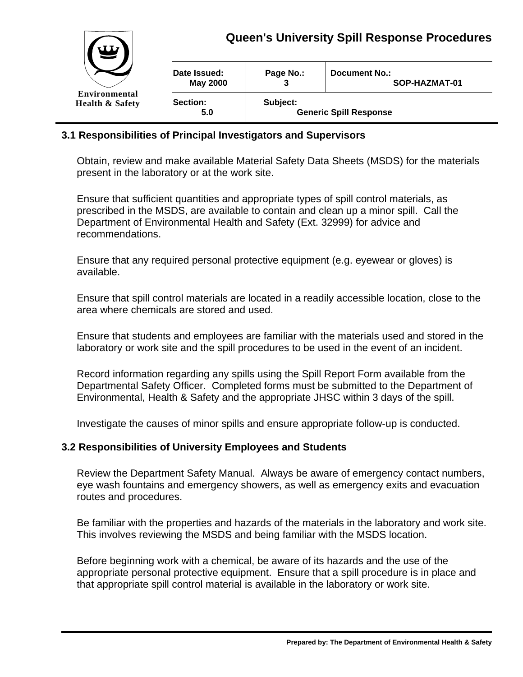

#### **3.1 Responsibilities of Principal Investigators and Supervisors**

Obtain, review and make available Material Safety Data Sheets (MSDS) for the materials present in the laboratory or at the work site.

Ensure that sufficient quantities and appropriate types of spill control materials, as prescribed in the MSDS, are available to contain and clean up a minor spill. Call the Department of Environmental Health and Safety (Ext. 32999) for advice and recommendations.

Ensure that any required personal protective equipment (e.g. eyewear or gloves) is available.

Ensure that spill control materials are located in a readily accessible location, close to the area where chemicals are stored and used.

Ensure that students and employees are familiar with the materials used and stored in the laboratory or work site and the spill procedures to be used in the event of an incident.

Record information regarding any spills using the Spill Report Form available from the Departmental Safety Officer. Completed forms must be submitted to the Department of Environmental, Health & Safety and the appropriate JHSC within 3 days of the spill.

Investigate the causes of minor spills and ensure appropriate follow-up is conducted.

#### **3.2 Responsibilities of University Employees and Students**

Review the Department Safety Manual. Always be aware of emergency contact numbers, eye wash fountains and emergency showers, as well as emergency exits and evacuation routes and procedures.

Be familiar with the properties and hazards of the materials in the laboratory and work site. This involves reviewing the MSDS and being familiar with the MSDS location.

Before beginning work with a chemical, be aware of its hazards and the use of the appropriate personal protective equipment. Ensure that a spill procedure is in place and that appropriate spill control material is available in the laboratory or work site.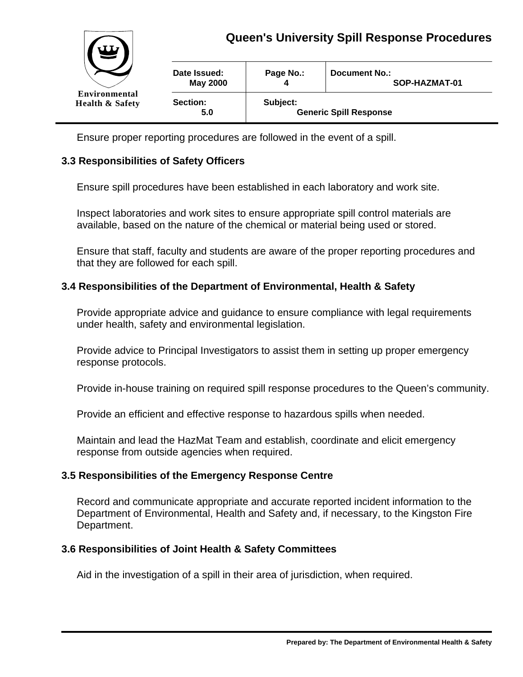

Ensure proper reporting procedures are followed in the event of a spill.

## **3.3 Responsibilities of Safety Officers**

Ensure spill procedures have been established in each laboratory and work site.

Inspect laboratories and work sites to ensure appropriate spill control materials are available, based on the nature of the chemical or material being used or stored.

Ensure that staff, faculty and students are aware of the proper reporting procedures and that they are followed for each spill.

### **3.4 Responsibilities of the Department of Environmental, Health & Safety**

Provide appropriate advice and guidance to ensure compliance with legal requirements under health, safety and environmental legislation.

Provide advice to Principal Investigators to assist them in setting up proper emergency response protocols.

Provide in-house training on required spill response procedures to the Queen's community.

Provide an efficient and effective response to hazardous spills when needed.

Maintain and lead the HazMat Team and establish, coordinate and elicit emergency response from outside agencies when required.

### **3.5 Responsibilities of the Emergency Response Centre**

Record and communicate appropriate and accurate reported incident information to the Department of Environmental, Health and Safety and, if necessary, to the Kingston Fire Department.

#### **3.6 Responsibilities of Joint Health & Safety Committees**

Aid in the investigation of a spill in their area of jurisdiction, when required.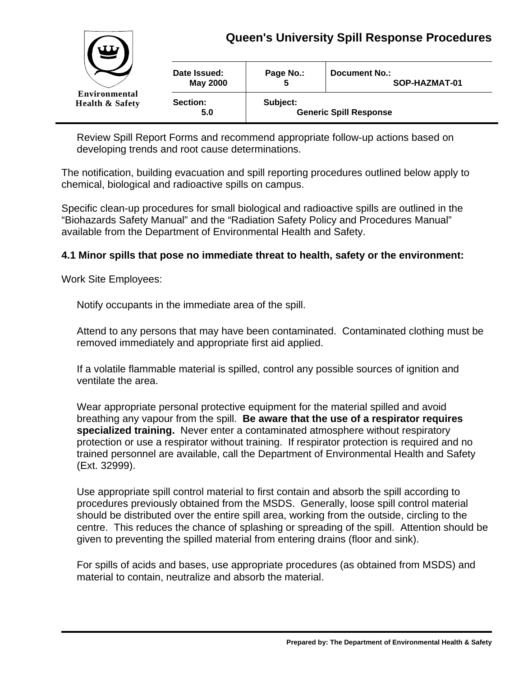

Review Spill Report Forms and recommend appropriate follow-up actions based on developing trends and root cause determinations.

The notification, building evacuation and spill reporting procedures outlined below apply to chemical, biological and radioactive spills on campus.

Specific clean-up procedures for small biological and radioactive spills are outlined in the "Biohazards Safety Manual" and the "Radiation Safety Policy and Procedures Manual" available from the Department of Environmental Health and Safety.

### **4.1 Minor spills that pose no immediate threat to health, safety or the environment:**

Work Site Employees:

Notify occupants in the immediate area of the spill.

Attend to any persons that may have been contaminated. Contaminated clothing must be removed immediately and appropriate first aid applied.

If a volatile flammable material is spilled, control any possible sources of ignition and ventilate the area.

Wear appropriate personal protective equipment for the material spilled and avoid breathing any vapour from the spill. **Be aware that the use of a respirator requires specialized training.** Never enter a contaminated atmosphere without respiratory protection or use a respirator without training. If respirator protection is required and no trained personnel are available, call the Department of Environmental Health and Safety (Ext. 32999).

Use appropriate spill control material to first contain and absorb the spill according to procedures previously obtained from the MSDS. Generally, loose spill control material should be distributed over the entire spill area, working from the outside, circling to the centre. This reduces the chance of splashing or spreading of the spill. Attention should be given to preventing the spilled material from entering drains (floor and sink).

For spills of acids and bases, use appropriate procedures (as obtained from MSDS) and material to contain, neutralize and absorb the material.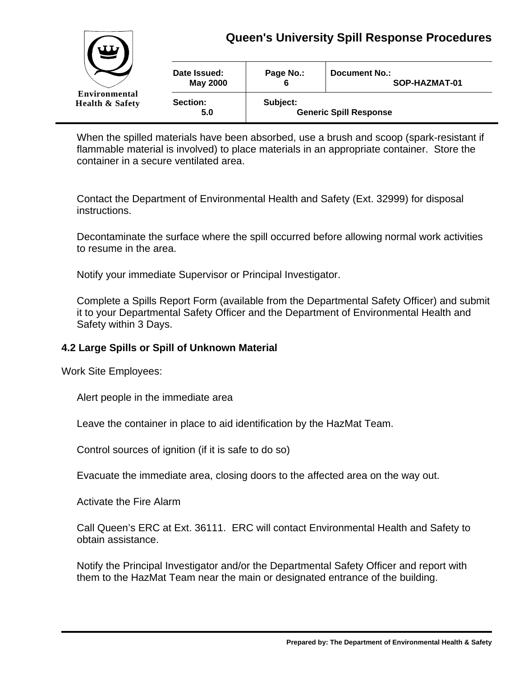

| W<br>=<br>Environmental<br><b>Health &amp; Safety</b> |                                 |                                           |                                |
|-------------------------------------------------------|---------------------------------|-------------------------------------------|--------------------------------|
|                                                       | Date Issued:<br><b>May 2000</b> | Page No.:<br>6                            | Document No.:<br>SOP-HAZMAT-01 |
|                                                       | Section:<br>5.0                 | Subject:<br><b>Generic Spill Response</b> |                                |

When the spilled materials have been absorbed, use a brush and scoop (spark-resistant if flammable material is involved) to place materials in an appropriate container. Store the container in a secure ventilated area.

Contact the Department of Environmental Health and Safety (Ext. 32999) for disposal instructions.

Decontaminate the surface where the spill occurred before allowing normal work activities to resume in the area.

Notify your immediate Supervisor or Principal Investigator.

Complete a Spills Report Form (available from the Departmental Safety Officer) and submit it to your Departmental Safety Officer and the Department of Environmental Health and Safety within 3 Days.

### **4.2 Large Spills or Spill of Unknown Material**

Work Site Employees:

Alert people in the immediate area

Leave the container in place to aid identification by the HazMat Team.

Control sources of ignition (if it is safe to do so)

Evacuate the immediate area, closing doors to the affected area on the way out.

Activate the Fire Alarm

Call Queen's ERC at Ext. 36111. ERC will contact Environmental Health and Safety to obtain assistance.

Notify the Principal Investigator and/or the Departmental Safety Officer and report with them to the HazMat Team near the main or designated entrance of the building.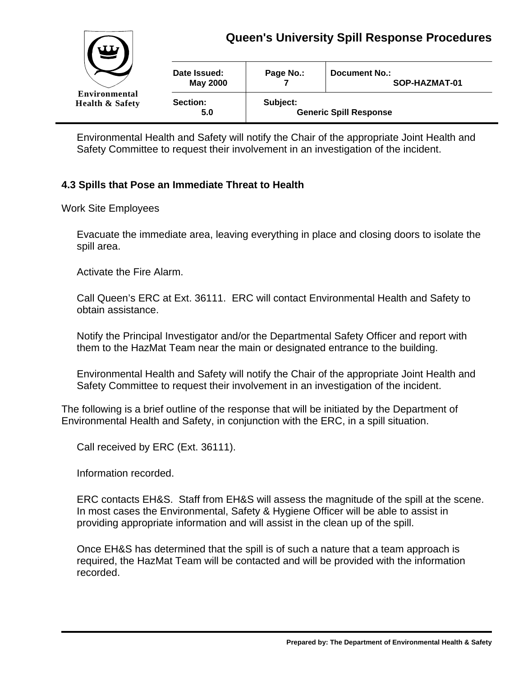

Environmental Health and Safety will notify the Chair of the appropriate Joint Health and Safety Committee to request their involvement in an investigation of the incident.

# **4.3 Spills that Pose an Immediate Threat to Health**

Work Site Employees

Evacuate the immediate area, leaving everything in place and closing doors to isolate the spill area.

Activate the Fire Alarm.

Call Queen's ERC at Ext. 36111. ERC will contact Environmental Health and Safety to obtain assistance.

Notify the Principal Investigator and/or the Departmental Safety Officer and report with them to the HazMat Team near the main or designated entrance to the building.

Environmental Health and Safety will notify the Chair of the appropriate Joint Health and Safety Committee to request their involvement in an investigation of the incident.

The following is a brief outline of the response that will be initiated by the Department of Environmental Health and Safety, in conjunction with the ERC, in a spill situation.

Call received by ERC (Ext. 36111).

Information recorded.

ERC contacts EH&S. Staff from EH&S will assess the magnitude of the spill at the scene. In most cases the Environmental, Safety & Hygiene Officer will be able to assist in providing appropriate information and will assist in the clean up of the spill.

Once EH&S has determined that the spill is of such a nature that a team approach is required, the HazMat Team will be contacted and will be provided with the information recorded.